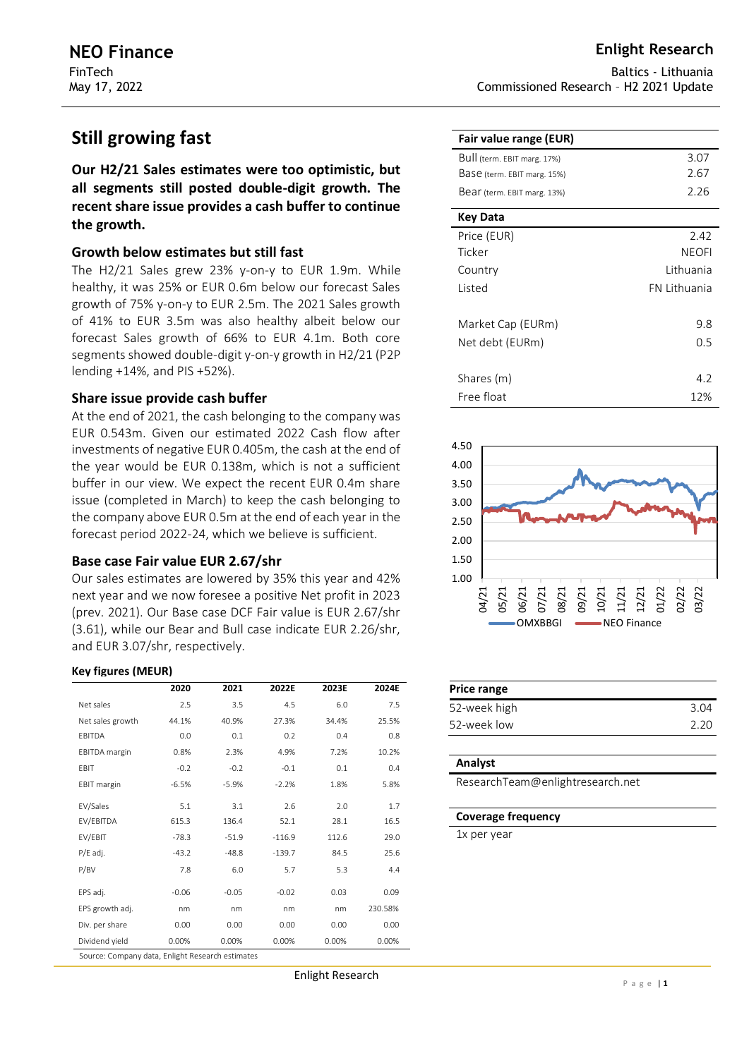# **Still growing fast**

**Our H2/21 Sales estimates were too optimistic, but all segments still posted double-digit growth. The recent share issue provides a cash buffer to continue the growth.** 

## **Growth below estimates but still fast**

The H2/21 Sales grew 23% y-on-y to EUR 1.9m. While healthy, it was 25% or EUR 0.6m below our forecast Sales growth of 75% y-on-y to EUR 2.5m. The 2021 Sales growth of 41% to EUR 3.5m was also healthy albeit below our forecast Sales growth of 66% to EUR 4.1m. Both core segments showed double-digit y-on-y growth in H2/21 (P2P lending +14%, and PIS +52%).

## **Share issue provide cash buffer**

At the end of 2021, the cash belonging to the company was EUR 0.543m. Given our estimated 2022 Cash flow after investments of negative EUR 0.405m, the cash at the end of the year would be EUR 0.138m, which is not a sufficient buffer in our view. We expect the recent EUR 0.4m share issue (completed in March) to keep the cash belonging to the company above EUR 0.5m at the end of each year in the forecast period 2022-24, which we believe is sufficient.

## **Base case Fair value EUR 2.67/shr**

Our sales estimates are lowered by 35% this year and 42% next year and we now foresee a positive Net profit in 2023 (prev. 2021). Our Base case DCF Fair value is EUR 2.67/shr (3.61), while our Bear and Bull case indicate EUR 2.26/shr, and EUR 3.07/shr, respectively.

### **Key figures (MEUR)**

|                                                  | 2020    | 2021    | 2022E    | 2023E | 2024E   |  |  |  |  |
|--------------------------------------------------|---------|---------|----------|-------|---------|--|--|--|--|
| Net sales                                        | 2.5     | 3.5     | 4.5      | 6.0   | 7.5     |  |  |  |  |
| Net sales growth                                 | 44.1%   | 40.9%   | 27.3%    | 34.4% | 25.5%   |  |  |  |  |
| EBITDA                                           | 0.0     | 0.1     | 0.2      | 0.4   | 0.8     |  |  |  |  |
| <b>EBITDA</b> margin                             | 0.8%    | 2.3%    | 4.9%     | 7.2%  | 10.2%   |  |  |  |  |
| EBIT                                             | $-0.2$  | $-0.2$  | $-0.1$   | 0.1   | 0.4     |  |  |  |  |
| <b>EBIT</b> margin                               | $-6.5%$ | $-5.9%$ | $-2.2%$  | 1.8%  | 5.8%    |  |  |  |  |
| EV/Sales                                         | 5.1     | 3.1     | 2.6      | 2.0   | 1.7     |  |  |  |  |
| EV/EBITDA                                        | 615.3   | 136.4   | 52.1     | 28.1  | 16.5    |  |  |  |  |
| EV/EBIT                                          | $-78.3$ | $-51.9$ | $-116.9$ | 112.6 | 29.0    |  |  |  |  |
| P/E adj.                                         | $-43.2$ | $-48.8$ | $-139.7$ | 84.5  | 25.6    |  |  |  |  |
| P/BV                                             | 7.8     | 6.0     | 5.7      | 5.3   | 4.4     |  |  |  |  |
| EPS adj.                                         | $-0.06$ | $-0.05$ | $-0.02$  | 0.03  | 0.09    |  |  |  |  |
| EPS growth adj.                                  | nm      | nm      | nm       | nm    | 230.58% |  |  |  |  |
| Div. per share                                   | 0.00    | 0.00    | 0.00     | 0.00  | 0.00    |  |  |  |  |
| Dividend yield                                   | 0.00%   | 0.00%   | 0.00%    | 0.00% | 0.00%   |  |  |  |  |
| Source: Company data, Enlight Research estimates |         |         |          |       |         |  |  |  |  |

Baltics - Lithuania Commissioned Research – H2 2021 Update

| Fair value range (EUR)      |              |
|-----------------------------|--------------|
| Bull (term. EBIT marg. 17%) | 3.07         |
| Base (term. EBIT marg. 15%) | 2.67         |
| Bear (term. EBIT marg. 13%) | 2.26         |
| Key Data                    |              |
| Price (EUR)                 | 2.42         |
| Ticker                      | <b>NEOFI</b> |
| Country                     | Lithuania    |
| Listed                      | FN Lithuania |
| Market Cap (EURm)           | 9.8          |
| Net debt (EURm)             | 0.5          |
|                             |              |
| Shares (m)                  | 4.2          |
| Free float                  | 12%          |



| Price range  |      |
|--------------|------|
| 52-week high | 3.04 |
| 52-week low  | 220  |

### **Analyst**

ResearchTeam@enlightresearch.net

#### **Coverage frequency**

1x per year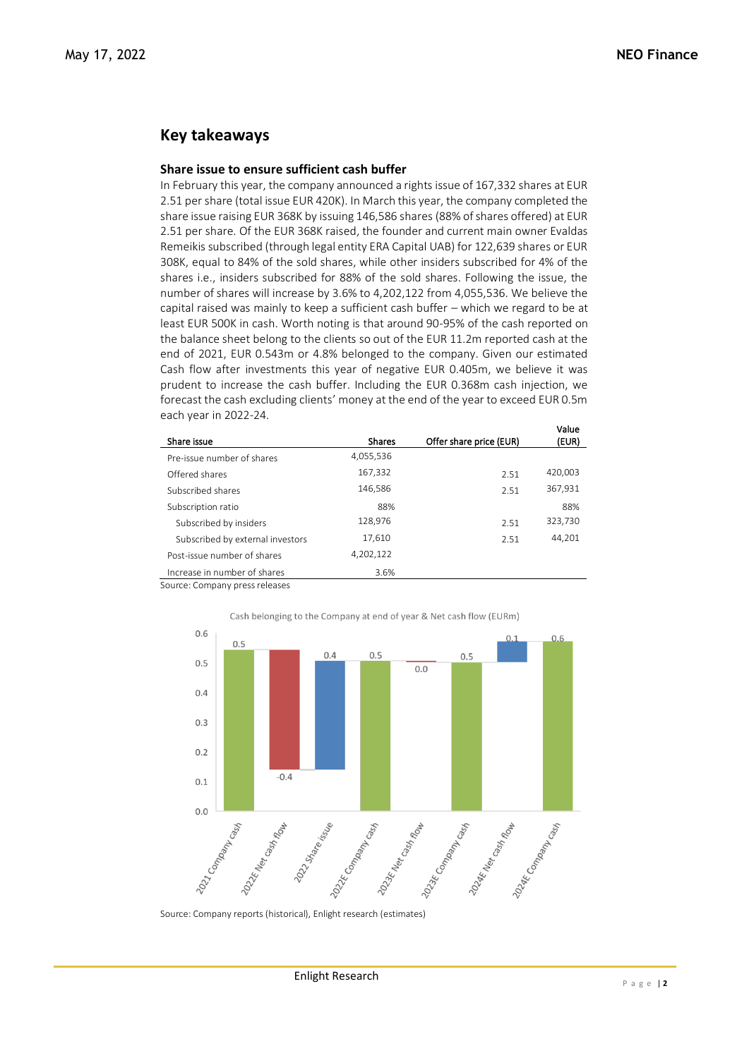## **Key takeaways**

## **Share issue to ensure sufficient cash buffer**

In February this year, the company announced a rights issue of 167,332 shares at EUR 2.51 per share (total issue EUR 420K). In March this year, the company completed the share issue raising EUR 368K by issuing 146,586 shares (88% of shares offered) at EUR 2.51 per share. Of the EUR 368K raised, the founder and current main owner Evaldas Remeikis subscribed (through legal entity ERA Capital UAB) for 122,639 shares or EUR 308K, equal to 84% of the sold shares, while other insiders subscribed for 4% of the shares i.e., insiders subscribed for 88% of the sold shares. Following the issue, the number of shares will increase by 3.6% to 4,202,122 from 4,055,536. We believe the capital raised was mainly to keep a sufficient cash buffer – which we regard to be at least EUR 500K in cash. Worth noting is that around 90-95% of the cash reported on the balance sheet belong to the clients so out of the EUR 11.2m reported cash at the end of 2021, EUR 0.543m or 4.8% belonged to the company. Given our estimated Cash flow after investments this year of negative EUR 0.405m, we believe it was prudent to increase the cash buffer. Including the EUR 0.368m cash injection, we forecast the cash excluding clients' money at the end of the year to exceed EUR 0.5m each year in 2022-24. Value

|                                  |               |                         | value   |
|----------------------------------|---------------|-------------------------|---------|
| Share issue                      | <b>Shares</b> | Offer share price (EUR) | (EUR)   |
| Pre-issue number of shares       | 4,055,536     |                         |         |
| Offered shares                   | 167,332       | 2.51                    | 420,003 |
| Subscribed shares                | 146,586       | 2.51                    | 367,931 |
| Subscription ratio               | 88%           |                         | 88%     |
| Subscribed by insiders           | 128,976       | 2.51                    | 323,730 |
| Subscribed by external investors | 17,610        | 2.51                    | 44,201  |
| Post-issue number of shares      | 4,202,122     |                         |         |
| Increase in number of shares     | 3.6%          |                         |         |
|                                  |               |                         |         |

Source: Company press releases



Cash belonging to the Company at end of year & Net cash flow (EURm)

Source: Company reports (historical), Enlight research (estimates)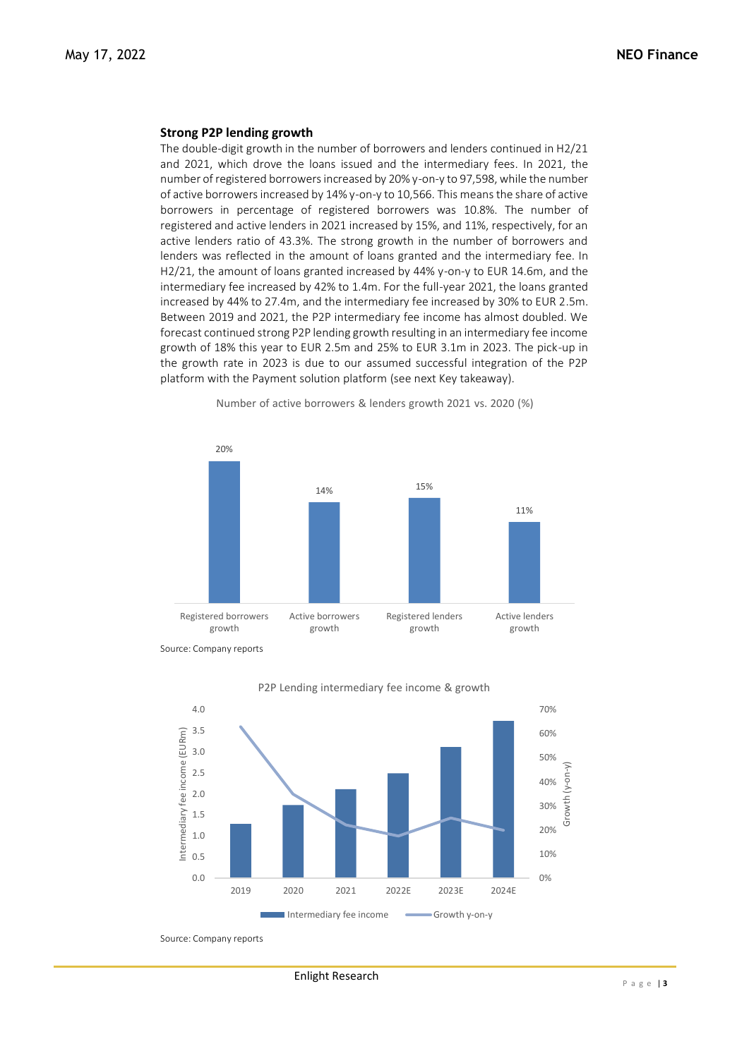#### **Strong P2P lending growth**

The double-digit growth in the number of borrowers and lenders continued in H2/21 and 2021, which drove the loans issued and the intermediary fees. In 2021, the number of registered borrowers increased by 20% y-on-y to 97,598, while the number of active borrowers increased by 14% y-on-y to 10,566. This means the share of active borrowers in percentage of registered borrowers was 10.8%. The number of registered and active lenders in 2021 increased by 15%, and 11%, respectively, for an active lenders ratio of 43.3%. The strong growth in the number of borrowers and lenders was reflected in the amount of loans granted and the intermediary fee. In H2/21, the amount of loans granted increased by 44% y-on-y to EUR 14.6m, and the intermediary fee increased by 42% to 1.4m. For the full-year 2021, the loans granted increased by 44% to 27.4m, and the intermediary fee increased by 30% to EUR 2.5m. Between 2019 and 2021, the P2P intermediary fee income has almost doubled. We forecast continued strong P2P lending growth resulting in an intermediary fee income growth of 18% this year to EUR 2.5m and 25% to EUR 3.1m in 2023. The pick-up in the growth rate in 2023 is due to our assumed successful integration of the P2P platform with the Payment solution platform (see next Key takeaway).



Number of active borrowers & lenders growth 2021 vs. 2020 (%)



P2P Lending intermediary fee income & growth

Source: Company reports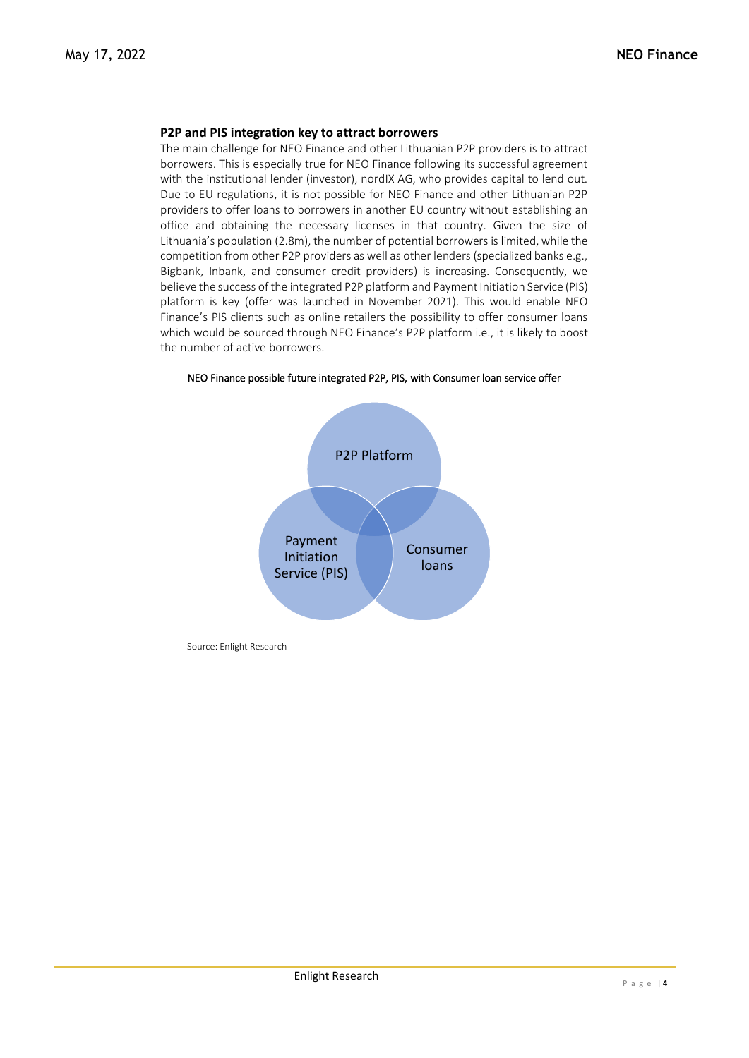## **P2P and PIS integration key to attract borrowers**

The main challenge for NEO Finance and other Lithuanian P2P providers is to attract borrowers. This is especially true for NEO Finance following its successful agreement with the institutional lender (investor), nordIX AG, who provides capital to lend out. Due to EU regulations, it is not possible for NEO Finance and other Lithuanian P2P providers to offer loans to borrowers in another EU country without establishing an office and obtaining the necessary licenses in that country. Given the size of Lithuania's population (2.8m), the number of potential borrowers is limited, while the competition from other P2P providers as well as other lenders (specialized banks e.g., Bigbank, Inbank, and consumer credit providers) is increasing. Consequently, we believe the success of the integrated P2P platform and Payment Initiation Service (PIS) platform is key (offer was launched in November 2021). This would enable NEO Finance's PIS clients such as online retailers the possibility to offer consumer loans which would be sourced through NEO Finance's P2P platform i.e., it is likely to boost the number of active borrowers.



NEO Finance possible future integrated P2P, PIS, with Consumer loan service offer

Source: Enlight Research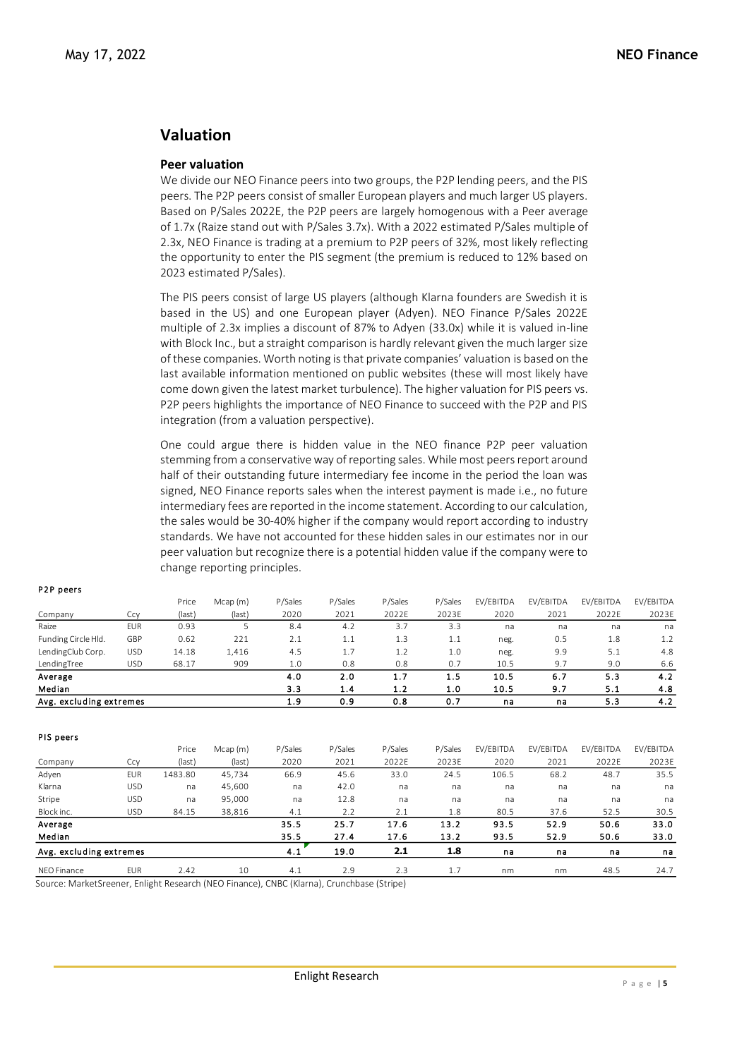## **Valuation**

### **Peer valuation**

We divide our NEO Finance peers into two groups, the P2P lending peers, and the PIS peers. The P2P peers consist of smaller European players and much larger US players. Based on P/Sales 2022E, the P2P peers are largely homogenous with a Peer average of 1.7x (Raize stand out with P/Sales 3.7x). With a 2022 estimated P/Sales multiple of 2.3x, NEO Finance is trading at a premium to P2P peers of 32%, most likely reflecting the opportunity to enter the PIS segment (the premium is reduced to 12% based on 2023 estimated P/Sales).

The PIS peers consist of large US players (although Klarna founders are Swedish it is based in the US) and one European player (Adyen). NEO Finance P/Sales 2022E multiple of 2.3x implies a discount of 87% to Adyen (33.0x) while it is valued in-line with Block Inc., but a straight comparison is hardly relevant given the much larger size of these companies. Worth noting is that private companies' valuation is based on the last available information mentioned on public websites (these will most likely have come down given the latest market turbulence). The higher valuation for PIS peers vs. P2P peers highlights the importance of NEO Finance to succeed with the P2P and PIS integration (from a valuation perspective).

One could argue there is hidden value in the NEO finance P2P peer valuation stemming from a conservative way of reporting sales. While most peers report around half of their outstanding future intermediary fee income in the period the loan was signed, NEO Finance reports sales when the interest payment is made i.e., no future intermediary fees are reported in the income statement. According to our calculation, the sales would be 30-40% higher if the company would report according to industry standards. We have not accounted for these hidden sales in our estimates nor in our peer valuation but recognize there is a potential hidden value if the company were to change reporting principles.

|                         |            | Price  | Mcap(m) | P/Sales | P/Sales | P/Sales | P/Sales | EV/EBITDA | EV/EBITDA | EV/EBITDA | EV/EBITDA |
|-------------------------|------------|--------|---------|---------|---------|---------|---------|-----------|-----------|-----------|-----------|
| Company                 | Ссv        | (last) | (last)  | 2020    | 2021    | 2022E   | 2023E   | 2020      | 2021      | 2022E     | 2023E     |
| Raize                   | <b>EUR</b> | 0.93   |         | 8.4     | 4.2     | 3.7     | 3.3     | na        | na        | na        | na        |
| Funding Circle Hld.     | GBP        | 0.62   | 221     | 2.1     | 1.1     | 1.3     | 1.1     | neg.      | 0.5       | 1.8       | 1.2       |
| LendingClub Corp.       | USD        | 14.18  | 1,416   | 4.5     | 1.7     | 1.2     | 1.0     | neg.      | 9.9       | 5.1       | 4.8       |
| LendingTree             | <b>USD</b> | 68.17  | 909     | 1.0     | 0.8     | 0.8     | 0.7     | 10.5      | 9.7       | 9.0       | 6.6       |
| Average                 |            |        |         | 4.0     | 2.0     | 1.7     | 1.5     | 10.5      | 6.7       | 5.3       | 4.2       |
| Median                  |            |        |         | 3.3     | 1.4     | 1.2     | 1.0     | 10.5      | 9.7       | 5.1       | 4.8       |
| Avg. excluding extremes |            |        |         | 1.9     | 0.9     | 0.8     | 0.7     | na        | na        | 5.3       | 4.2       |

### P<sub>2</sub>P peers

PIS peers

|                           |            | Price    | Mcap (m)  | P/Sales        | P/Sales                | P/Sales | P/Sales | EV/EBITDA | EV/EBITDA | EV/EBITDA | EV/EBITDA |
|---------------------------|------------|----------|-----------|----------------|------------------------|---------|---------|-----------|-----------|-----------|-----------|
| Company                   | Ccy        | (last)   | (last)    | 2020           | 2021                   | 2022E   | 2023E   | 2020      | 2021      | 2022E     | 2023E     |
| Adyen                     | <b>EUR</b> | 1483.80  | 45,734    | 66.9           | 45.6                   | 33.0    | 24.5    | 106.5     | 68.2      | 48.7      | 35.5      |
| Klarna                    | <b>USD</b> | na       | 45,600    | na             | 42.0                   | na      | na      | na        | na        | na        | na        |
| Stripe                    | USD        | na       | 95,000    | na             | 12.8                   | na      | na      | na        | na        | na        | na        |
| Block inc.                | USD        | 84.15    | 38,816    | 4.1            | 2.2                    | 2.1     | 1.8     | 80.5      | 37.6      | 52.5      | 30.5      |
| Average                   |            |          |           | 35.5           | 25.7                   | 17.6    | 13.2    | 93.5      | 52.9      | 50.6      | 33.0      |
| Median                    |            |          |           | 35.5           | 27.4                   | 17.6    | 13.2    | 93.5      | 52.9      | 50.6      | 33.0      |
| Avg. excluding extremes   |            |          |           | 4.1            | 19.0                   | 2.1     | 1.8     | na        | na        | na        | na        |
| NFO Finance               | <b>EUR</b> | 2.42     | 10        | 4.1            | 2.9                    | 2.3     | 1.7     | nm        | nm        | 48.5      | 24.7      |
| $\cdots$<br>$\sim$ $\sim$ |            | $-111.6$ | $\lambda$ | $C1$ $C2$ $C3$ | <b>1. 1.</b><br>$\sim$ | $1 - 1$ |         |           |           |           |           |

Source: MarketSreener, Enlight Research (NEO Finance), CNBC (Klarna), Crunchbase (Stripe)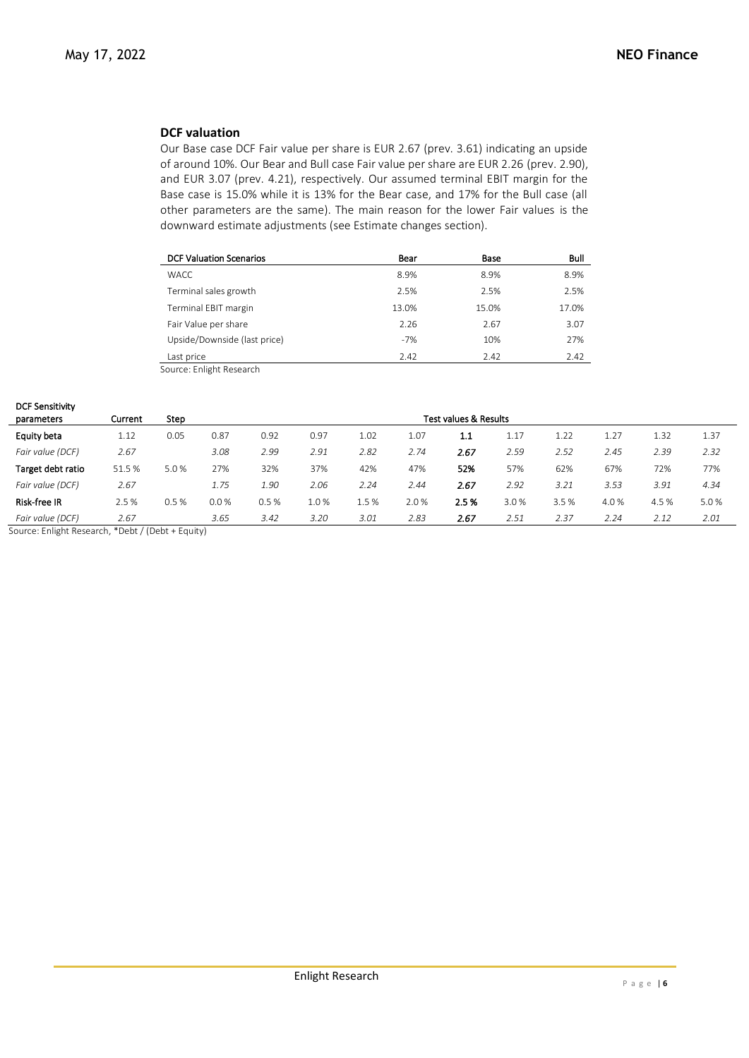## **DCF valuation**

Our Base case DCF Fair value per share is EUR 2.67 (prev. 3.61) indicating an upside of around 10%. Our Bear and Bull case Fair value per share are EUR 2.26 (prev. 2.90), and EUR 3.07 (prev. 4.21), respectively. Our assumed terminal EBIT margin for the Base case is 15.0% while it is 13% for the Bear case, and 17% for the Bull case (all other parameters are the same). The main reason for the lower Fair values is the downward estimate adjustments (see Estimate changes section).

| <b>DCF Valuation Scenarios</b> | Bear  | Base  | Bull  |
|--------------------------------|-------|-------|-------|
| <b>WACC</b>                    | 8.9%  | 8.9%  | 8.9%  |
| Terminal sales growth          | 2.5%  | 2.5%  | 2.5%  |
| Terminal EBIT margin           | 13.0% | 15.0% | 17.0% |
| Fair Value per share           | 2.26  | 2.67  | 3.07  |
| Upside/Downside (last price)   | $-7%$ | 10%   | 27%   |
| Last price                     | 2.42  | 2.42  | 2.42  |

Source: Enlight Research

| <b>DCF Sensitivity</b> |         |      |      |      |      |       |      |                                  |      |      |      |       |      |
|------------------------|---------|------|------|------|------|-------|------|----------------------------------|------|------|------|-------|------|
| parameters             | Current | Step |      |      |      |       |      | <b>Test values &amp; Results</b> |      |      |      |       |      |
| Equity beta            | 1.12    | 0.05 | 0.87 | 0.92 | 0.97 | 1.02  | 1.07 | 1.1                              | 1.17 | 1.22 | 1.27 | 1.32  | 1.37 |
| Fair value (DCF)       | 2.67    |      | 3.08 | 2.99 | 2.91 | 2.82  | 2.74 | 2.67                             | 2.59 | 2.52 | 2.45 | 2.39  | 2.32 |
| Target debt ratio      | 51.5%   | 5.0% | 27%  | 32%  | 37%  | 42%   | 47%  | 52%                              | 57%  | 62%  | 67%  | 72%   | 77%  |
| Fair value (DCF)       | 2.67    |      | 1.75 | 1.90 | 2.06 | 2.24  | 2.44 | 2.67                             | 2.92 | 3.21 | 3.53 | 3.91  | 4.34 |
| <b>Risk-free IR</b>    | 2.5%    | 0.5% | 0.0% | 0.5% | 1.0% | 1.5 % | 2.0% | 2.5%                             | 3.0% | 3.5% | 4.0% | 4.5 % | 5.0% |
| Fair value (DCF)       | 2.67    |      | 3.65 | 3.42 | 3.20 | 3.01  | 2.83 | 2.67                             | 2.51 | 2.37 | 2.24 | 2.12  | 2.01 |

Source: Enlight Research, \*Debt / (Debt + Equity)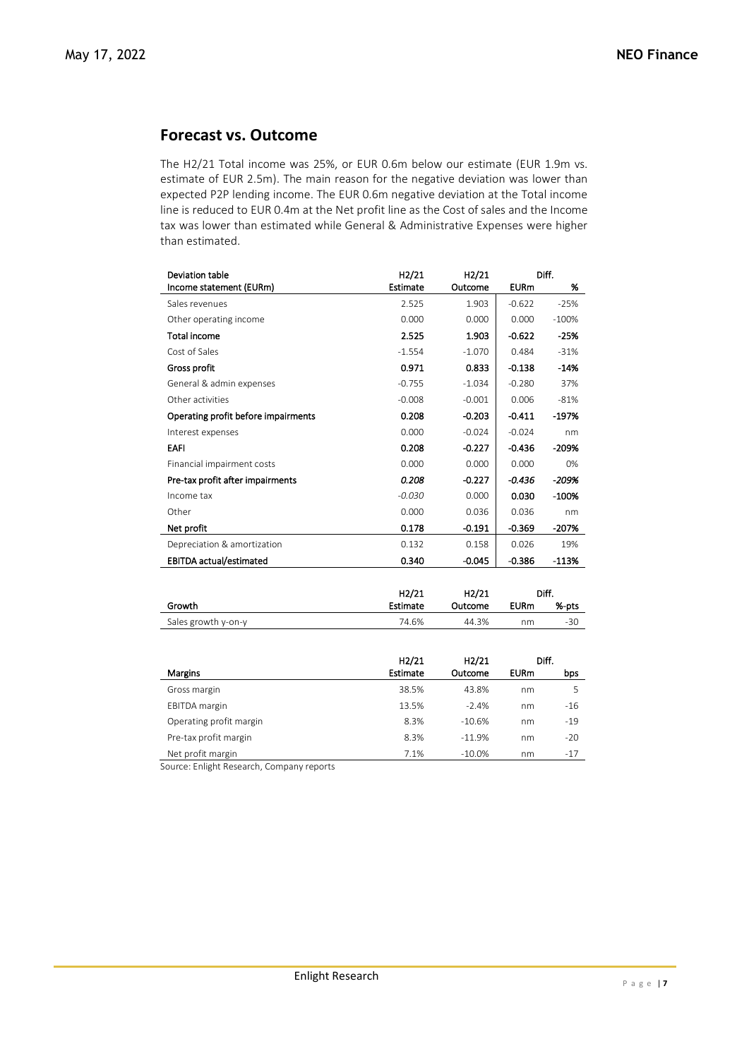## **Forecast vs. Outcome**

The H2/21 Total income was 25%, or EUR 0.6m below our estimate (EUR 1.9m vs. estimate of EUR 2.5m). The main reason for the negative deviation was lower than expected P2P lending income. The EUR 0.6m negative deviation at the Total income line is reduced to EUR 0.4m at the Net profit line as the Cost of sales and the Income tax was lower than estimated while General & Administrative Expenses were higher than estimated.

| Deviation table                     | H <sub>2</sub> /21 | H2/21    |             | Diff.   |
|-------------------------------------|--------------------|----------|-------------|---------|
| Income statement (EURm)             | <b>Estimate</b>    | Outcome  | <b>EURm</b> | %       |
| Sales revenues                      | 2.525              | 1.903    | $-0.622$    | $-25%$  |
| Other operating income              | 0.000              | 0.000    | 0.000       | $-100%$ |
| Total income                        | 2.525              | 1.903    | $-0.622$    | -25%    |
| Cost of Sales                       | $-1.554$           | $-1.070$ | 0.484       | $-31%$  |
| Gross profit                        | 0.971              | 0.833    | $-0.138$    | $-14%$  |
| General & admin expenses            | $-0.755$           | $-1.034$ | $-0.280$    | 37%     |
| Other activities                    | $-0.008$           | $-0.001$ | 0.006       | $-81%$  |
| Operating profit before impairments | 0.208              | $-0.203$ | $-0.411$    | -197%   |
| Interest expenses                   | 0.000              | $-0.024$ | $-0.024$    | nm      |
| <b>EAFI</b>                         | 0.208              | $-0.227$ | $-0.436$    | -209%   |
| Financial impairment costs          | 0.000              | 0.000    | 0.000       | 0%      |
| Pre-tax profit after impairments    | 0.208              | $-0.227$ | $-0.436$    | -209%   |
| Income tax                          | $-0.030$           | 0.000    | 0.030       | -100%   |
| Other                               | 0.000              | 0.036    | 0.036       | nm      |
| Net profit                          | 0.178              | $-0.191$ | $-0.369$    | -207%   |
| Depreciation & amortization         | 0.132              | 0.158    | 0.026       | 19%     |
| <b>EBITDA</b> actual/estimated      | 0.340              | $-0.045$ | $-0.386$    | $-113%$ |
|                                     |                    |          |             |         |

|                     | H <sub>2</sub> /21 | H2/21   |             | Diff. |
|---------------------|--------------------|---------|-------------|-------|
| Growth              | Estimate           | Outcome | <b>EURm</b> | %-pts |
| Sales growth y-on-y | 74.6%              | 44.3%   | nm          | $-30$ |

|                         | H2/21    | H2/21    |             | Diff. |
|-------------------------|----------|----------|-------------|-------|
| <b>Margins</b>          | Estimate | Outcome  | <b>EURm</b> | bps   |
| Gross margin            | 38.5%    | 43.8%    | nm          | 5     |
| <b>EBITDA</b> margin    | 13.5%    | $-2.4%$  | nm          | -16   |
| Operating profit margin | 8.3%     | $-10.6%$ | nm          | $-19$ |
| Pre-tax profit margin   | 8.3%     | $-11.9%$ | nm          | $-20$ |
| Net profit margin       | 7.1%     | $-10.0%$ | nm          | $-17$ |

Source: Enlight Research, Company reports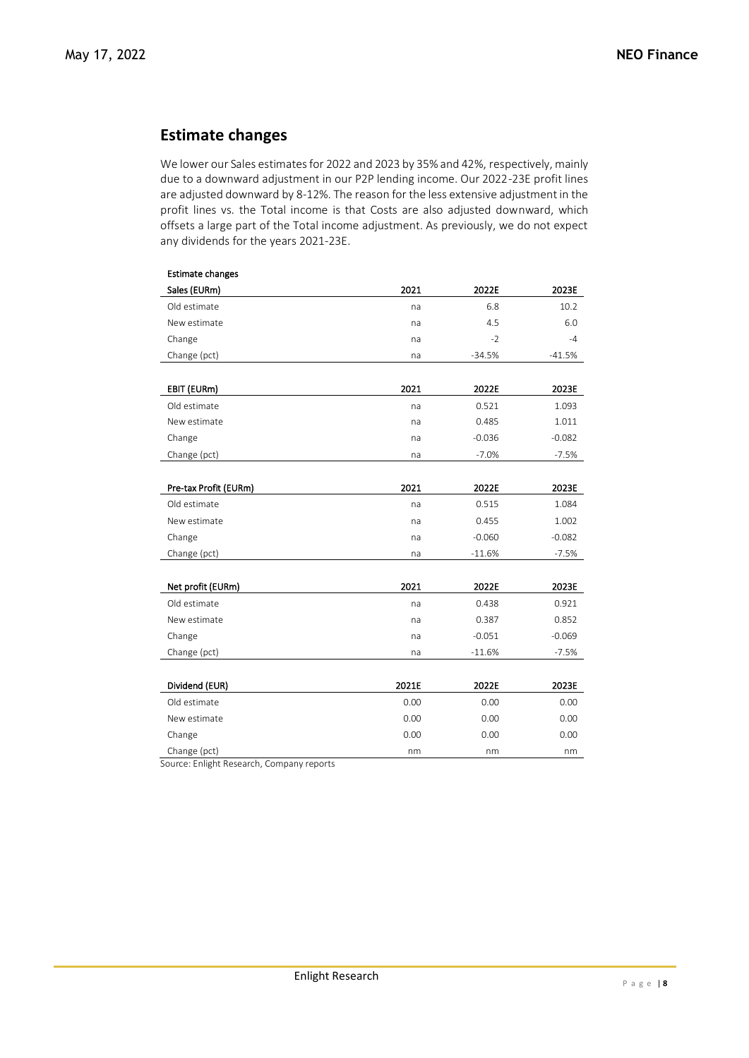## **Estimate changes**

We lower our Sales estimates for 2022 and 2023 by 35% and 42%, respectively, mainly due to a downward adjustment in our P2P lending income. Our 2022-23E profit lines are adjusted downward by 8-12%. The reason for the less extensive adjustment in the profit lines vs. the Total income is that Costs are also adjusted downward, which offsets a large part of the Total income adjustment. As previously, we do not expect any dividends for the years 2021-23E.

| <b>Estimate changes</b> |       |          |          |
|-------------------------|-------|----------|----------|
| Sales (EURm)            | 2021  | 2022E    | 2023E    |
| Old estimate            | na    | 6.8      | 10.2     |
| New estimate            | na    | 4.5      | 6.0      |
| Change                  | na    | $-2$     | $-4$     |
| Change (pct)            | na    | $-34.5%$ | $-41.5%$ |
|                         |       |          |          |
| EBIT (EURm)             | 2021  | 2022E    | 2023E    |
| Old estimate            | na    | 0.521    | 1.093    |
| New estimate            | na    | 0.485    | 1.011    |
| Change                  | na    | $-0.036$ | $-0.082$ |
| Change (pct)            | na    | $-7.0%$  | $-7.5%$  |
|                         |       |          |          |
| Pre-tax Profit (EURm)   | 2021  | 2022E    | 2023E    |
| Old estimate            | na    | 0.515    | 1.084    |
| New estimate            | na    | 0.455    | 1.002    |
| Change                  | na    | $-0.060$ | $-0.082$ |
| Change (pct)            | na    | $-11.6%$ | $-7.5%$  |
|                         |       |          |          |
| Net profit (EURm)       | 2021  | 2022E    | 2023E    |
| Old estimate            | na    | 0.438    | 0.921    |
| New estimate            | na    | 0.387    | 0.852    |
| Change                  | na    | $-0.051$ | $-0.069$ |
| Change (pct)            | na    | $-11.6%$ | $-7.5%$  |
|                         |       |          |          |
| Dividend (EUR)          | 2021E | 2022E    | 2023E    |
| Old estimate            | 0.00  | 0.00     | 0.00     |
| New estimate            | 0.00  | 0.00     | 0.00     |
| Change                  | 0.00  | 0.00     | 0.00     |
| Change (pct)            | nm    | nm       | nm       |

Source: Enlight Research, Company reports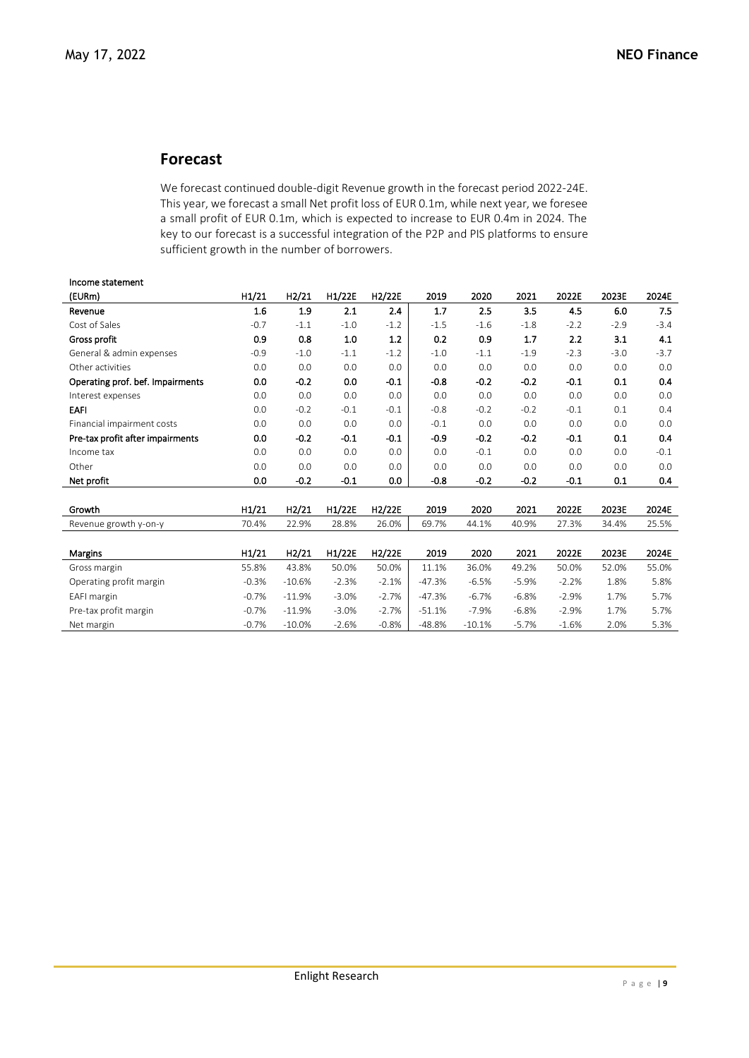## **Forecast**

We forecast continued double-digit Revenue growth in the forecast period 2022-24E. This year, we forecast a small Net profit loss of EUR 0.1m, while next year, we foresee a small profit of EUR 0.1m, which is expected to increase to EUR 0.4m in 2024. The key to our forecast is a successful integration of the P2P and PIS platforms to ensure sufficient growth in the number of borrowers.

| Income statement                 |         |          |         |                     |          |          |         |         |        |        |
|----------------------------------|---------|----------|---------|---------------------|----------|----------|---------|---------|--------|--------|
| (EURm)                           | H1/21   | H2/21    | H1/22E  | H <sub>2</sub> /22E | 2019     | 2020     | 2021    | 2022E   | 2023E  | 2024E  |
| Revenue                          | 1.6     | 1.9      | 2.1     | 2.4                 | 1.7      | 2.5      | 3.5     | 4.5     | 6.0    | 7.5    |
| Cost of Sales                    | $-0.7$  | $-1.1$   | $-1.0$  | $-1.2$              | $-1.5$   | $-1.6$   | $-1.8$  | $-2.2$  | $-2.9$ | $-3.4$ |
| Gross profit                     | 0.9     | 0.8      | 1.0     | 1.2                 | 0.2      | 0.9      | 1.7     | 2.2     | 3.1    | 4.1    |
| General & admin expenses         | $-0.9$  | $-1.0$   | $-1.1$  | $-1.2$              | $-1.0$   | $-1.1$   | $-1.9$  | $-2.3$  | $-3.0$ | $-3.7$ |
| Other activities                 | 0.0     | 0.0      | 0.0     | 0.0                 | 0.0      | 0.0      | 0.0     | 0.0     | 0.0    | 0.0    |
| Operating prof. bef. Impairments | 0.0     | $-0.2$   | 0.0     | $-0.1$              | $-0.8$   | $-0.2$   | $-0.2$  | $-0.1$  | 0.1    | 0.4    |
| Interest expenses                | 0.0     | 0.0      | 0.0     | 0.0                 | 0.0      | 0.0      | 0.0     | 0.0     | 0.0    | 0.0    |
| <b>EAFI</b>                      | 0.0     | $-0.2$   | $-0.1$  | $-0.1$              | $-0.8$   | $-0.2$   | $-0.2$  | $-0.1$  | 0.1    | 0.4    |
| Financial impairment costs       | 0.0     | 0.0      | 0.0     | 0.0                 | $-0.1$   | 0.0      | 0.0     | 0.0     | 0.0    | 0.0    |
| Pre-tax profit after impairments | 0.0     | $-0.2$   | $-0.1$  | $-0.1$              | $-0.9$   | $-0.2$   | $-0.2$  | $-0.1$  | 0.1    | 0.4    |
| Income tax                       | 0.0     | 0.0      | 0.0     | 0.0                 | 0.0      | $-0.1$   | 0.0     | 0.0     | 0.0    | $-0.1$ |
| Other                            | 0.0     | 0.0      | 0.0     | 0.0                 | 0.0      | 0.0      | 0.0     | 0.0     | 0.0    | 0.0    |
| Net profit                       | 0.0     | $-0.2$   | $-0.1$  | 0.0                 | $-0.8$   | $-0.2$   | $-0.2$  | $-0.1$  | 0.1    | 0.4    |
|                                  |         |          |         |                     |          |          |         |         |        |        |
| Growth                           | H1/21   | H2/21    | H1/22E  | H2/22E              | 2019     | 2020     | 2021    | 2022E   | 2023E  | 2024E  |
| Revenue growth y-on-y            | 70.4%   | 22.9%    | 28.8%   | 26.0%               | 69.7%    | 44.1%    | 40.9%   | 27.3%   | 34.4%  | 25.5%  |
|                                  |         |          |         |                     |          |          |         |         |        |        |
| <b>Margins</b>                   | H1/21   | H2/21    | H1/22E  | H <sub>2</sub> /22E | 2019     | 2020     | 2021    | 2022E   | 2023E  | 2024E  |
| Gross margin                     | 55.8%   | 43.8%    | 50.0%   | 50.0%               | 11.1%    | 36.0%    | 49.2%   | 50.0%   | 52.0%  | 55.0%  |
| Operating profit margin          | $-0.3%$ | $-10.6%$ | $-2.3%$ | $-2.1%$             | $-47.3%$ | $-6.5%$  | $-5.9%$ | $-2.2%$ | 1.8%   | 5.8%   |
| EAFI margin                      | $-0.7%$ | $-11.9%$ | $-3.0%$ | $-2.7%$             | $-47.3%$ | $-6.7%$  | $-6.8%$ | $-2.9%$ | 1.7%   | 5.7%   |
| Pre-tax profit margin            | $-0.7%$ | $-11.9%$ | $-3.0%$ | $-2.7%$             | $-51.1%$ | $-7.9%$  | $-6.8%$ | $-2.9%$ | 1.7%   | 5.7%   |
| Net margin                       | $-0.7%$ | $-10.0%$ | $-2.6%$ | $-0.8%$             | $-48.8%$ | $-10.1%$ | $-5.7%$ | $-1.6%$ | 2.0%   | 5.3%   |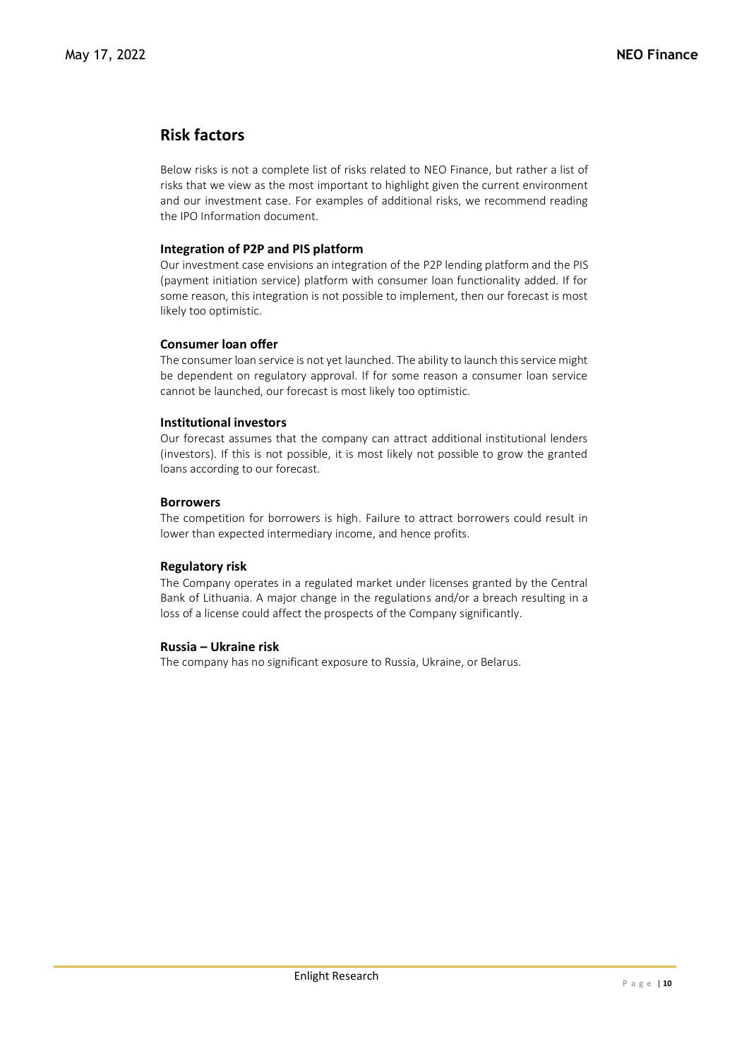## **Risk factors**

Below risks is not a complete list of risks related to NEO Finance, but rather a list of risks that we view as the most important to highlight given the current environment and our investment case. For examples of additional risks, we recommend reading the IPO Information document.

## **Integration of P2P and PIS platform**

Our investment case envisions an integration of the P2P lending platform and the PIS (payment initiation service) platform with consumer loan functionality added. If for some reason, this integration is not possible to implement, then our forecast is most likely too optimistic.

## **Consumer loan offer**

The consumer loan service is not yet launched. The ability to launch this service might be dependent on regulatory approval. If for some reason a consumer loan service cannot be launched, our forecast is most likely too optimistic.

## **Institutional investors**

Our forecast assumes that the company can attract additional institutional lenders (investors). If this is not possible, it is most likely not possible to grow the granted loans according to our forecast.

## **Borrowers**

The competition for borrowers is high. Failure to attract borrowers could result in lower than expected intermediary income, and hence profits.

## **Regulatory risk**

The Company operates in a regulated market under licenses granted by the Central Bank of Lithuania. A major change in the regulations and/or a breach resulting in a loss of a license could affect the prospects of the Company significantly.

## **Russia – Ukraine risk**

The company has no significant exposure to Russia, Ukraine, or Belarus.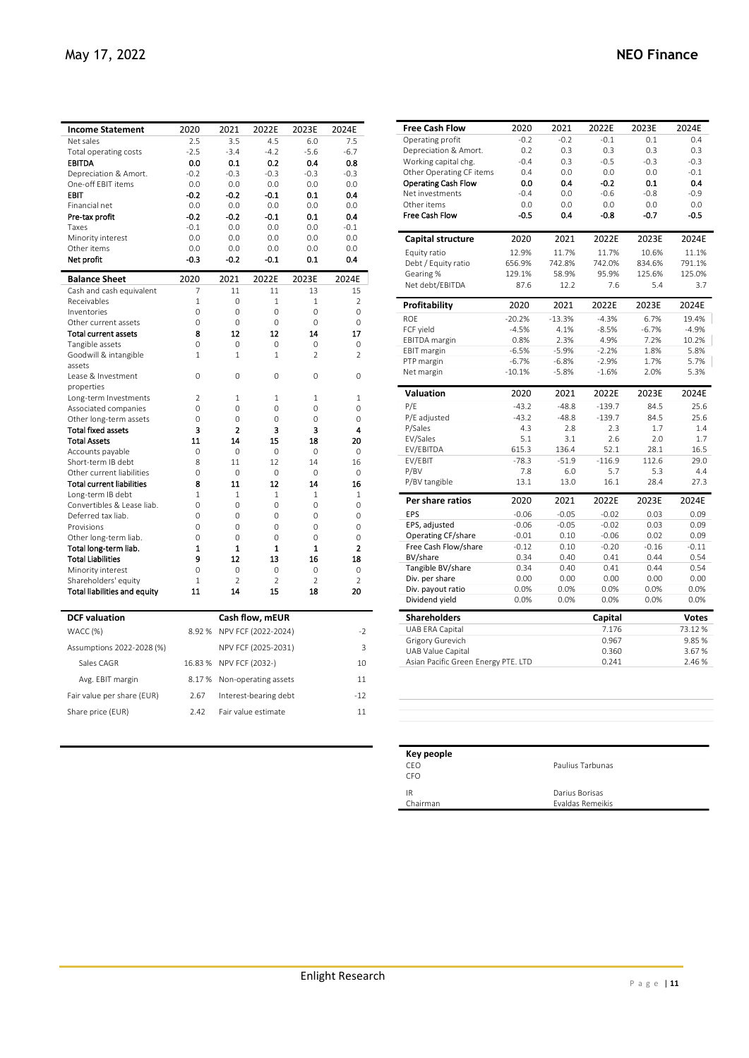| <b>Income Statement</b>                              | 2020               | 2021                  | 2022E                | 2023E                | 2024E                |
|------------------------------------------------------|--------------------|-----------------------|----------------------|----------------------|----------------------|
| Net sales                                            | 2.5                | 3.5                   | 4.5                  | 6.0                  | 7.5                  |
| Total operating costs                                | $-2.5$             | $-3.4$                | $-4.2$               | $-5.6$               | $-6.7$               |
| <b>EBITDA</b>                                        | 0.0                | 0.1                   | 0.2                  | 0.4                  | 0.8                  |
| Depreciation & Amort.                                | $-0.2$             | $-0.3$                | $-0.3$               | $-0.3$               | $-0.3$               |
| One-off EBIT items                                   | 0.0                | 0.0                   | 0.0                  | 0.0                  | 0.0                  |
| <b>EBIT</b>                                          | $-0.2$             | $-0.2$                | $-0.1$               | 0.1                  | 0.4                  |
| Financial net                                        | 0.0                | 0.0                   | 0.0                  | 0.0                  | 0.0                  |
| Pre-tax profit                                       | $-0.2$             | $-0.2$                | $-0.1$               | 0.1                  | 0.4                  |
| Taxes                                                | $-0.1$             | 0.0                   | 0.0                  | 0.0                  | $-0.1$               |
| Minority interest                                    | 0.0                | 0.0                   | 0.0                  | 0.0                  | 0.0                  |
| Other items                                          | 0.0                | 0.0                   | 0.0                  | 0.0                  | 0.0                  |
| Net profit                                           | $-0.3$             | $-0.2$                | $-0.1$               | 0.1                  | 0.4                  |
| <b>Balance Sheet</b>                                 | 2020               | 2021                  | 2022E                | 2023E                | 2024E                |
| Cash and cash equivalent                             | 7                  | 11                    | 11                   | 13                   | 15                   |
| Receivables                                          | $\mathbf{1}$       | $\Omega$              | $\mathbf{1}$         | $\mathbf{1}$         | $\overline{2}$       |
| Inventories                                          | 0                  | 0                     | 0                    | 0                    | 0                    |
| Other current assets                                 | 0                  | 0                     | 0                    | 0                    | 0                    |
| <b>Total current assets</b>                          | 8                  | 12                    | 12                   | 14                   | 17                   |
| Tangible assets                                      | $\Omega$           | 0                     | 0                    | 0                    | 0                    |
| Goodwill & intangible<br>assets                      | $\mathbf{1}$       | $\mathbf{1}$          | $\mathbf{1}$         | $\overline{2}$       | $\overline{2}$       |
| Lease & Investment                                   | $\Omega$           | $\Omega$              | $\Omega$             | $\Omega$             | $\Omega$             |
| properties                                           |                    |                       |                      |                      |                      |
| Long-term Investments                                | $\overline{2}$     | 1                     | $\mathbf{1}$         | 1                    | $\mathbf{1}$         |
| Associated companies                                 | $\Omega$           | $\Omega$              | $\Omega$             | $\Omega$             | $\Omega$             |
| Other long-term assets                               | 0                  | 0                     | 0                    | 0                    | 0                    |
| <b>Total fixed assets</b>                            | 3                  | 2                     | 3                    | 3                    | 4                    |
| <b>Total Assets</b>                                  | 11                 | 14                    | 15                   | 18                   | 20                   |
| Accounts payable                                     | $\Omega$           | $\Omega$              | $\Omega$             | $\Omega$             | $\Omega$             |
| Short-term IB debt                                   | 8                  | 11                    | 12                   | 14                   | 16                   |
| Other current liabilities                            | 0                  | 0                     | 0                    | 0                    | 0                    |
| <b>Total current liabilities</b>                     | 8                  | 11                    | 12                   | 14                   | 16                   |
| Long-term IB debt                                    | 1                  | 1                     | $\mathbf{1}$         | 1                    | 1                    |
| Convertibles & Lease liab.                           | 0                  | 0                     | 0                    | 0                    | 0                    |
| Deferred tax liab.                                   | 0                  | 0                     | 0                    | 0                    | 0                    |
| Provisions                                           | $\Omega$           | $\Omega$              | $\Omega$             | $\Omega$             | $\Omega$             |
| Other long-term liab.                                | 0                  | 0                     | $\Omega$             | $\Omega$             | 0                    |
| Total long-term liab.                                | 1<br>9             | $\mathbf{1}$          | $\mathbf{1}$<br>13   | $\mathbf{1}$<br>16   | 2                    |
| <b>Total Liabilities</b>                             |                    | 12                    |                      |                      | 18                   |
| Minority interest                                    | $\Omega$           | $\Omega$              | $\Omega$             | $\Omega$             | 0                    |
| Shareholders' equity<br>Total liabilities and equity | $\mathbf{1}$<br>11 | $\overline{2}$<br>14  | $\overline{2}$<br>15 | $\overline{2}$<br>18 | $\overline{2}$<br>20 |
|                                                      |                    |                       |                      |                      |                      |
| <b>DCF</b> valuation                                 |                    |                       | Cash flow, mEUR      |                      |                      |
| WACC (%)                                             | 8.92%              |                       | NPV FCF (2022-2024)  |                      | $-2$                 |
| Assumptions 2022-2028 (%)                            |                    |                       | NPV FCF (2025-2031)  |                      | 3                    |
| Sales CAGR                                           | 16.83%             | NPV FCF (2032-)       |                      |                      | 10                   |
| Avg. EBIT margin                                     | 8.17%              |                       | Non-operating assets |                      | 11                   |
| Fair value per share (EUR)                           | 2.67               | Interest-bearing debt |                      |                      | $-12$                |
| Share price (EUR)                                    | 2.42               | Fair value estimate   | 11                   |                      |                      |
|                                                      |                    |                       |                      |                      |                      |

| <b>Free Cash Flow</b>                                           | 2020     | 2021     | 2022E          | 2023E   | 2024E                  |
|-----------------------------------------------------------------|----------|----------|----------------|---------|------------------------|
| Operating profit                                                | $-0.2$   | $-0.2$   | $-0.1$         | 0.1     | 0.4                    |
| Depreciation & Amort.                                           | 0.2      | 0.3      | 0.3            | 0.3     | 0.3                    |
| Working capital chg.                                            | $-0.4$   | 0.3      | $-0.5$         | $-0.3$  | $-0.3$                 |
| Other Operating CF items                                        | 0.4      | 0.0      | 0.0            | 0.0     | $-0.1$                 |
| <b>Operating Cash Flow</b>                                      | 0.0      | 0.4      | $-0.2$         | 0.1     | 0.4                    |
| Net investments                                                 | $-0.4$   | 0.0      | $-0.6$         | $-0.8$  | $-0.9$                 |
| Other items                                                     | 0.0      | 0.0      | 0.0            | 0.0     | 0.0                    |
| Free Cash Flow                                                  | $-0.5$   | 0.4      | $-0.8$         | $-0.7$  | $-0.5$                 |
| Capital structure                                               | 2020     | 2021     | 2022E          | 2023E   | 2024E                  |
| Equity ratio                                                    | 12.9%    | 11.7%    | 11.7%          | 10.6%   | 11.1%                  |
| Debt / Equity ratio                                             | 656.9%   | 742.8%   | 742.0%         | 834.6%  | 791.1%                 |
| Gearing %                                                       | 129.1%   | 58.9%    | 95.9%          | 125.6%  | 125.0%                 |
| Net debt/EBITDA                                                 | 87.6     | 12.2     | 7.6            | 5.4     | 3.7                    |
| Profitability                                                   | 2020     | 2021     | 2022E          | 2023E   | 2024E                  |
| <b>ROE</b>                                                      | $-20.2%$ | $-13.3%$ | $-4.3%$        | 6.7%    | 19.4%                  |
| FCF yield                                                       | $-4.5%$  | 4.1%     | $-8.5%$        | $-6.7%$ | $-4.9%$                |
| <b>EBITDA</b> margin                                            | 0.8%     | 2.3%     | 4.9%           | 7.2%    | 10.2%                  |
| <b>EBIT</b> margin                                              | $-6.5%$  | $-5.9%$  | $-2.2%$        | 1.8%    | 5.8%                   |
| PTP margin                                                      | $-6.7%$  | $-6.8%$  | $-2.9%$        | 1.7%    | 5.7%                   |
| Net margin                                                      | $-10.1%$ | $-5.8%$  | $-1.6%$        | 2.0%    | 5.3%                   |
| <b>Valuation</b>                                                | 2020     | 2021     | 2022E          | 2023E   | 2024E                  |
| P/E                                                             | $-43.2$  | $-48.8$  | $-139.7$       | 84.5    | 25.6                   |
| P/E adjusted                                                    | $-43.2$  | $-48.8$  | $-139.7$       | 84.5    | 25.6                   |
| P/Sales                                                         | 4.3      | 2.8      | 2.3            | 1.7     | 1.4                    |
| EV/Sales                                                        | 5.1      | 3.1      | 2.6            | 2.0     | 1.7                    |
| EV/EBITDA                                                       | 615.3    | 136.4    | 52.1           | 28.1    | 16.5                   |
| EV/EBIT                                                         | $-78.3$  | $-51.9$  | $-116.9$       | 112.6   | 29.0                   |
| P/BV                                                            | 7.8      | 6.0      | 5.7            | 5.3     | 4.4                    |
| P/BV tangible                                                   | 13.1     | 13.0     | 16.1           | 28.4    | 27.3                   |
| Per share ratios                                                | 2020     | 2021     | 2022E          | 2023E   | 2024E                  |
| EPS                                                             | $-0.06$  | $-0.05$  | $-0.02$        | 0.03    | 0.09                   |
| EPS, adjusted                                                   | $-0.06$  | $-0.05$  | $-0.02$        | 0.03    | 0.09                   |
| Operating CF/share                                              | $-0.01$  | 0.10     | $-0.06$        | 0.02    | 0.09                   |
| Free Cash Flow/share                                            | $-0.12$  | 0.10     | $-0.20$        | $-0.16$ | $-0.11$                |
| BV/share                                                        | 0.34     | 0.40     | 0.41           | 0.44    | 0.54                   |
| Tangible BV/share                                               | 0.34     | 0.40     | 0.41           | 0.44    | 0.54                   |
| Div. per share                                                  | 0.00     | 0.00     | 0.00           | 0.00    | 0.00                   |
| Div. payout ratio                                               | 0.0%     | 0.0%     | 0.0%           | 0.0%    | 0.0%                   |
| Dividend yield                                                  | 0.0%     | 0.0%     | 0.0%           | 0.0%    | 0.0%                   |
|                                                                 |          |          |                |         |                        |
| <b>Shareholders</b>                                             |          |          | Capital        |         |                        |
| UAB ERA Capital                                                 |          |          | 7.176          |         | <b>Votes</b><br>73.12% |
| Grigory Gurevich                                                |          |          | 0.967          |         | 9.85%                  |
| <b>UAB Value Capital</b><br>Asian Pacific Green Energy PTE. LTD |          |          | 0.360<br>0.241 |         | 3.67%<br>2.46%         |

| Key people |                         |
|------------|-------------------------|
| CEO        | Paulius Tarbunas        |
| CEO.       |                         |
| IR         | Darius Borisas          |
| Chairman   | <b>Fyaldas Remeikis</b> |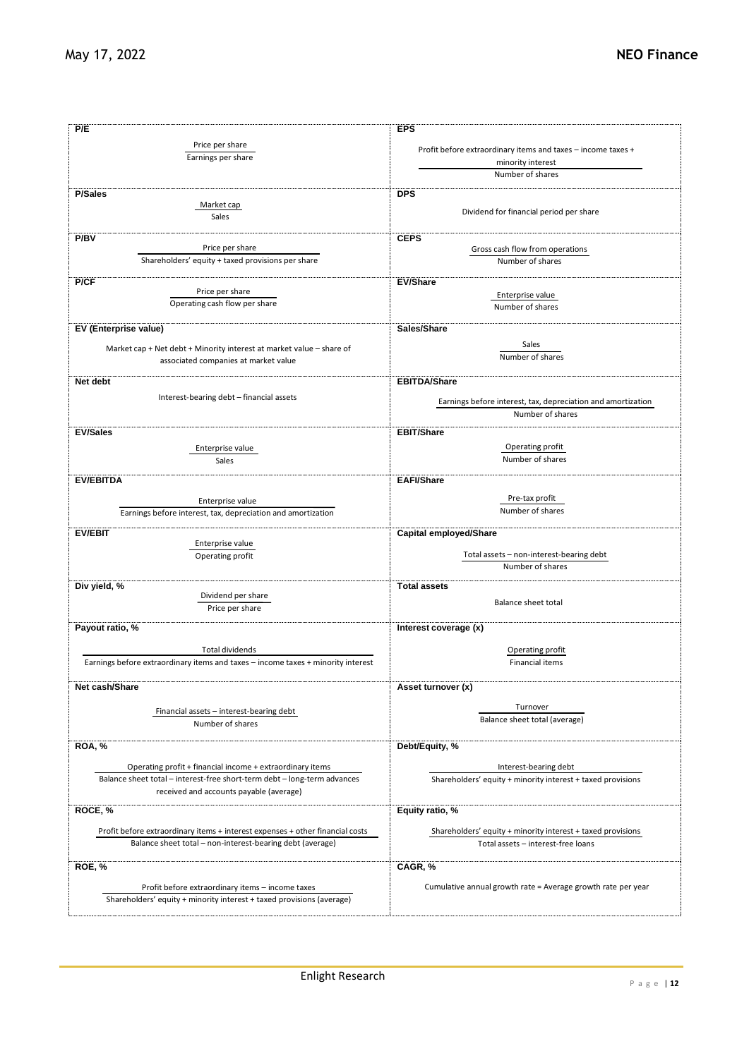| P/E                                                                              | <b>EPS</b>                                                   |  |  |  |  |
|----------------------------------------------------------------------------------|--------------------------------------------------------------|--|--|--|--|
| Price per share                                                                  |                                                              |  |  |  |  |
| Earnings per share                                                               | Profit before extraordinary items and taxes - income taxes + |  |  |  |  |
|                                                                                  | minority interest                                            |  |  |  |  |
|                                                                                  | Number of shares                                             |  |  |  |  |
| <b>P/Sales</b>                                                                   | <b>DPS</b>                                                   |  |  |  |  |
| Market cap                                                                       |                                                              |  |  |  |  |
| Sales                                                                            | Dividend for financial period per share                      |  |  |  |  |
| P/BV                                                                             | <b>CEPS</b>                                                  |  |  |  |  |
| Price per share                                                                  | Gross cash flow from operations                              |  |  |  |  |
| Shareholders' equity + taxed provisions per share                                | Number of shares                                             |  |  |  |  |
|                                                                                  |                                                              |  |  |  |  |
| P/CF<br>Price per share                                                          | <b>EV/Share</b>                                              |  |  |  |  |
| Operating cash flow per share                                                    | Enterprise value                                             |  |  |  |  |
|                                                                                  | Number of shares                                             |  |  |  |  |
| EV (Enterprise value)                                                            | Sales/Share                                                  |  |  |  |  |
|                                                                                  | Sales                                                        |  |  |  |  |
| Market cap + Net debt + Minority interest at market value - share of             | Number of shares                                             |  |  |  |  |
| associated companies at market value                                             |                                                              |  |  |  |  |
| Net debt                                                                         | <b>EBITDA/Share</b>                                          |  |  |  |  |
| Interest-bearing debt - financial assets                                         |                                                              |  |  |  |  |
|                                                                                  | Earnings before interest, tax, depreciation and amortization |  |  |  |  |
|                                                                                  | Number of shares                                             |  |  |  |  |
| <b>EV/Sales</b>                                                                  | <b>EBIT/Share</b>                                            |  |  |  |  |
| Enterprise value                                                                 | Operating profit                                             |  |  |  |  |
| Sales                                                                            | Number of shares                                             |  |  |  |  |
|                                                                                  |                                                              |  |  |  |  |
| <b>EV/EBITDA</b>                                                                 | <b>EAFI/Share</b>                                            |  |  |  |  |
| Enterprise value                                                                 | Pre-tax profit                                               |  |  |  |  |
| Earnings before interest, tax, depreciation and amortization                     | Number of shares                                             |  |  |  |  |
|                                                                                  |                                                              |  |  |  |  |
| <b>EV/EBIT</b><br>Enterprise value                                               | <b>Capital employed/Share</b>                                |  |  |  |  |
| Operating profit                                                                 | Total assets - non-interest-bearing debt                     |  |  |  |  |
|                                                                                  | Number of shares                                             |  |  |  |  |
|                                                                                  |                                                              |  |  |  |  |
| Div yield, %<br>Dividend per share                                               | <b>Total assets</b>                                          |  |  |  |  |
| Price per share                                                                  | Balance sheet total                                          |  |  |  |  |
|                                                                                  |                                                              |  |  |  |  |
| Payout ratio, %                                                                  | Interest coverage (x)                                        |  |  |  |  |
| <b>Total dividends</b>                                                           | Operating profit                                             |  |  |  |  |
| Earnings before extraordinary items and taxes - income taxes + minority interest | <b>Financial items</b>                                       |  |  |  |  |
|                                                                                  |                                                              |  |  |  |  |
| Net cash/Share                                                                   | Asset turnover (x)                                           |  |  |  |  |
|                                                                                  |                                                              |  |  |  |  |
| Financial assets - interest-bearing debt                                         | Turnover<br>Balance sheet total (average)                    |  |  |  |  |
| Number of shares                                                                 |                                                              |  |  |  |  |
| <b>ROA, %</b>                                                                    | Debt/Equity, %                                               |  |  |  |  |
|                                                                                  |                                                              |  |  |  |  |
| Operating profit + financial income + extraordinary items                        | Interest-bearing debt                                        |  |  |  |  |
| Balance sheet total - interest-free short-term debt - long-term advances         | Shareholders' equity + minority interest + taxed provisions  |  |  |  |  |
| received and accounts payable (average)                                          |                                                              |  |  |  |  |
| ROCE, %                                                                          | Equity ratio, %                                              |  |  |  |  |
|                                                                                  |                                                              |  |  |  |  |
| Profit before extraordinary items + interest expenses + other financial costs    | Shareholders' equity + minority interest + taxed provisions  |  |  |  |  |
| Balance sheet total - non-interest-bearing debt (average)                        | Total assets - interest-free loans                           |  |  |  |  |
| ROE, %                                                                           | CAGR, %                                                      |  |  |  |  |
|                                                                                  |                                                              |  |  |  |  |
| Profit before extraordinary items - income taxes                                 | Cumulative annual growth rate = Average growth rate per year |  |  |  |  |
| Shareholders' equity + minority interest + taxed provisions (average)            |                                                              |  |  |  |  |
|                                                                                  |                                                              |  |  |  |  |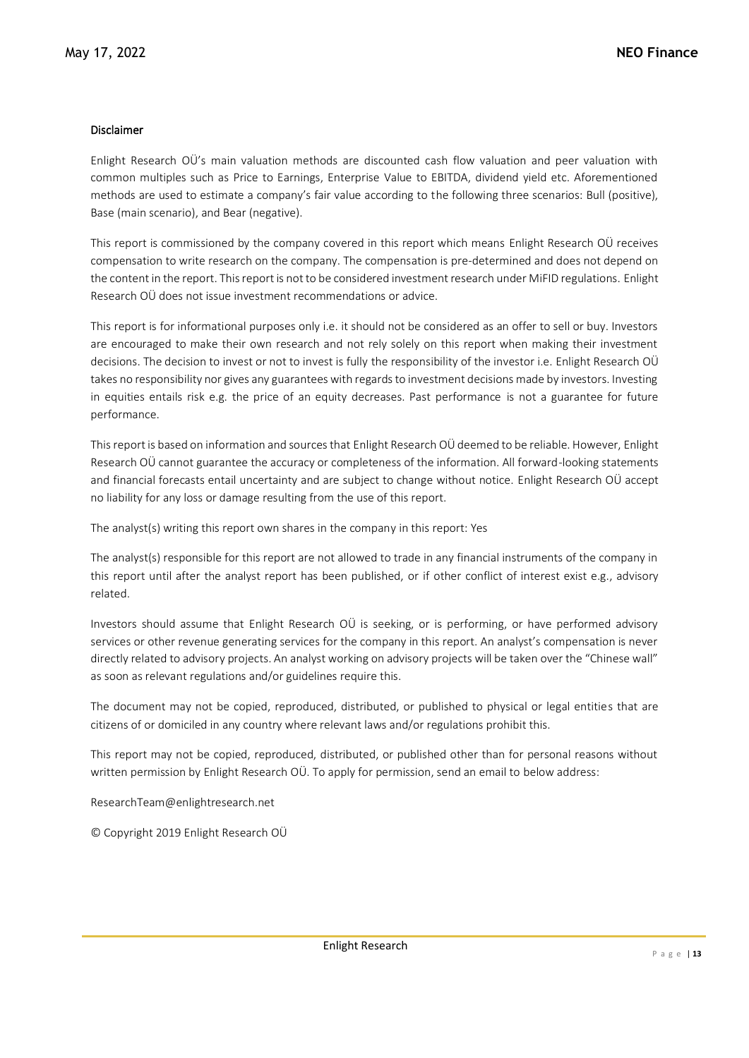### Disclaimer

Enlight Research OÜ's main valuation methods are discounted cash flow valuation and peer valuation with common multiples such as Price to Earnings, Enterprise Value to EBITDA, dividend yield etc. Aforementioned methods are used to estimate a company's fair value according to the following three scenarios: Bull (positive), Base (main scenario), and Bear (negative).

This report is commissioned by the company covered in this report which means Enlight Research OÜ receives compensation to write research on the company. The compensation is pre-determined and does not depend on the content in the report. This report is not to be considered investment research under MiFID regulations. Enlight Research OÜ does not issue investment recommendations or advice.

This report is for informational purposes only i.e. it should not be considered as an offer to sell or buy. Investors are encouraged to make their own research and not rely solely on this report when making their investment decisions. The decision to invest or not to invest is fully the responsibility of the investor i.e. Enlight Research OÜ takes no responsibility nor gives any guarantees with regards to investment decisions made by investors. Investing in equities entails risk e.g. the price of an equity decreases. Past performance is not a guarantee for future performance.

This report is based on information and sources that Enlight Research OÜ deemed to be reliable. However, Enlight Research OÜ cannot guarantee the accuracy or completeness of the information. All forward-looking statements and financial forecasts entail uncertainty and are subject to change without notice. Enlight Research OÜ accept no liability for any loss or damage resulting from the use of this report.

The analyst(s) writing this report own shares in the company in this report: Yes

The analyst(s) responsible for this report are not allowed to trade in any financial instruments of the company in this report until after the analyst report has been published, or if other conflict of interest exist e.g., advisory related.

Investors should assume that Enlight Research OÜ is seeking, or is performing, or have performed advisory services or other revenue generating services for the company in this report. An analyst's compensation is never directly related to advisory projects. An analyst working on advisory projects will be taken over the "Chinese wall" as soon as relevant regulations and/or guidelines require this.

The document may not be copied, reproduced, distributed, or published to physical or legal entities that are citizens of or domiciled in any country where relevant laws and/or regulations prohibit this.

This report may not be copied, reproduced, distributed, or published other than for personal reasons without written permission by Enlight Research OÜ. To apply for permission, send an email to below address:

ResearchTeam@enlightresearch.net

© Copyright 2019 Enlight Research OÜ